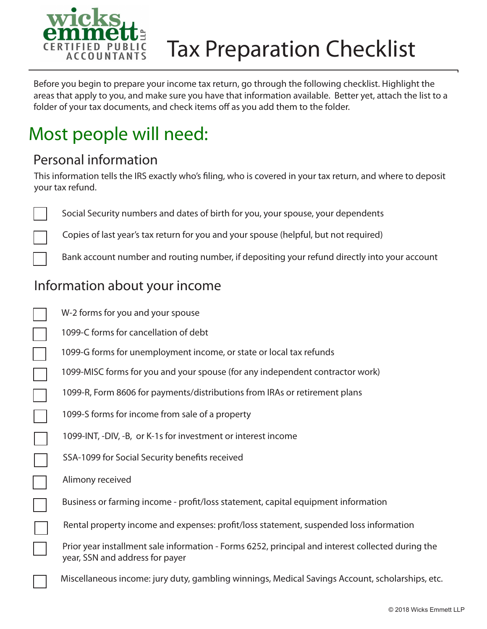

# Tax Preparation Checklist

Before you begin to prepare your income tax return, go through the following checklist. Highlight the areas that apply to you, and make sure you have that information available. Better yet, attach the list to a folder of your tax documents, and check items off as you add them to the folder.

# Most people will need:

#### Personal information

This information tells the IRS exactly who's filing, who is covered in your tax return, and where to deposit your tax refund.

Social Security numbers and dates of birth for you, your spouse, your dependents

Copies of last year's tax return for you and your spouse (helpful, but not required)

Bank account number and routing number, if depositing your refund directly into your account

### Information about your income

| W-2 forms for you and your spouse                                                                                                    |
|--------------------------------------------------------------------------------------------------------------------------------------|
| 1099-C forms for cancellation of debt                                                                                                |
| 1099-G forms for unemployment income, or state or local tax refunds                                                                  |
| 1099-MISC forms for you and your spouse (for any independent contractor work)                                                        |
| 1099-R, Form 8606 for payments/distributions from IRAs or retirement plans                                                           |
| 1099-S forms for income from sale of a property                                                                                      |
| 1099-INT, -DIV, -B, or K-1s for investment or interest income                                                                        |
| SSA-1099 for Social Security benefits received                                                                                       |
| Alimony received                                                                                                                     |
| Business or farming income - profit/loss statement, capital equipment information                                                    |
| Rental property income and expenses: profit/loss statement, suspended loss information                                               |
| Prior year installment sale information - Forms 6252, principal and interest collected during the<br>year, SSN and address for payer |
| Miscellaneous income: jury duty, gambling winnings, Medical Savings Account, scholarships, etc.                                      |
|                                                                                                                                      |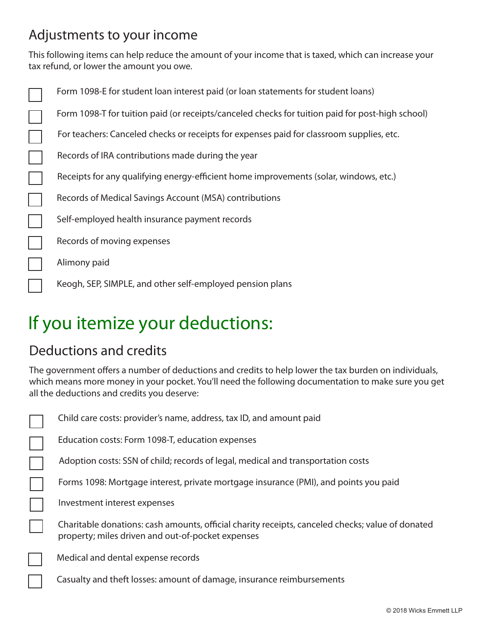## Adjustments to your income

This following items can help reduce the amount of your income that is taxed, which can increase your tax refund, or lower the amount you owe.

| Form 1098-E for student loan interest paid (or loan statements for student loans)                |
|--------------------------------------------------------------------------------------------------|
| Form 1098-T for tuition paid (or receipts/canceled checks for tuition paid for post-high school) |
| For teachers: Canceled checks or receipts for expenses paid for classroom supplies, etc.         |
| Records of IRA contributions made during the year                                                |
| Receipts for any qualifying energy-efficient home improvements (solar, windows, etc.)            |
| Records of Medical Savings Account (MSA) contributions                                           |
| Self-employed health insurance payment records                                                   |
| Records of moving expenses                                                                       |
| Alimony paid                                                                                     |
| Keogh, SEP, SIMPLE, and other self-employed pension plans                                        |

# If you itemize your deductions:

### Deductions and credits

 $\Box$ 

Ξ

 $\Box$ 

The government offers a number of deductions and credits to help lower the tax burden on individuals, which means more money in your pocket. You'll need the following documentation to make sure you get all the deductions and credits you deserve:

| Child care costs: provider's name, address, tax ID, and amount paid |  |  |
|---------------------------------------------------------------------|--|--|
|                                                                     |  |  |

Education costs: Form 1098-T, education expenses

Adoption costs: SSN of child; records of legal, medical and transportation costs

Forms 1098: Mortgage interest, private mortgage insurance (PMI), and points you paid

Investment interest expenses

Charitable donations: cash amounts, official charity receipts, canceled checks; value of donated property; miles driven and out-of-pocket expenses

Medical and dental expense records

Casualty and theft losses: amount of damage, insurance reimbursements